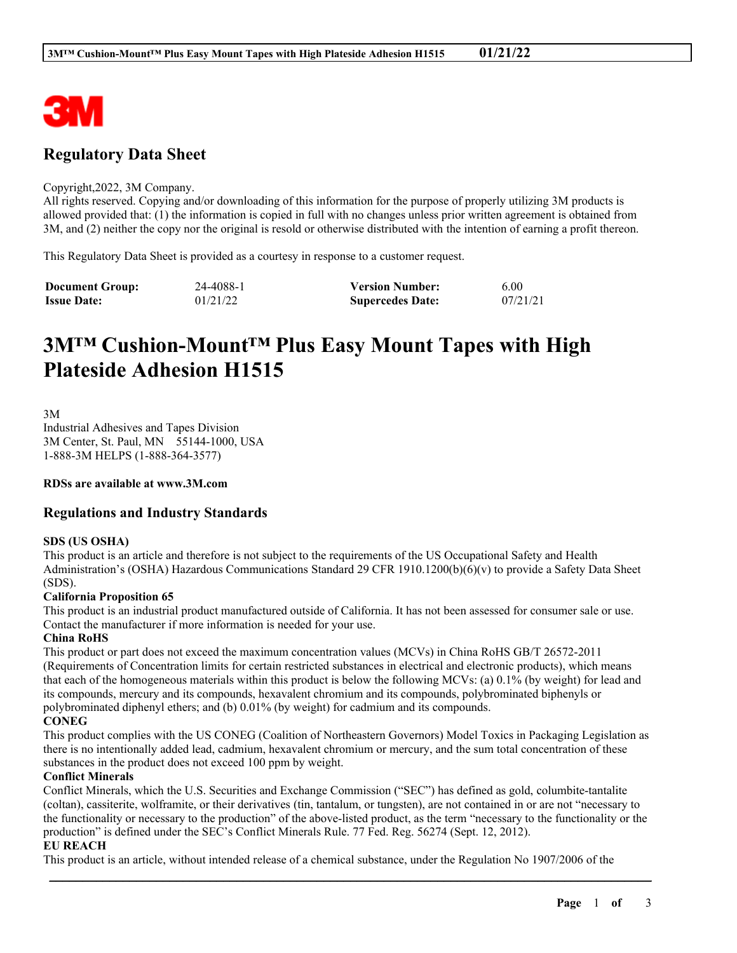

# **Regulatory Data Sheet**

#### Copyright,2022, 3M Company.

All rights reserved. Copying and/or downloading of this information for the purpose of properly utilizing 3M products is allowed provided that: (1) the information is copied in full with no changes unless prior written agreement is obtained from 3M, and (2) neither the copy nor the original is resold or otherwise distributed with the intention of earning a profit thereon.

This Regulatory Data Sheet is provided as a courtesy in response to a customer request.

| <b>Document Group:</b> | 24-4088-1 | <b>Version Number:</b>  | 6.00     |
|------------------------|-----------|-------------------------|----------|
| <b>Issue Date:</b>     | 01/21/22  | <b>Supercedes Date:</b> | 07/21/21 |

# **3M™ Cushion-Mount™ Plus Easy Mount Tapes with High Plateside Adhesion H1515**

3M

Industrial Adhesives and Tapes Division 3M Center, St. Paul, MN 55144-1000, USA 1-888-3M HELPS (1-888-364-3577)

**RDSs are available at www.3M.com**

## **Regulations and Industry Standards**

#### **SDS (US OSHA)**

This product is an article and therefore is not subject to the requirements of the US Occupational Safety and Health Administration's (OSHA) Hazardous Communications Standard 29 CFR 1910.1200(b)(6)(v) to provide a Safety Data Sheet (SDS).

#### **California Proposition 65**

This product is an industrial product manufactured outside of California. It has not been assessed for consumer sale or use. Contact the manufacturer if more information is needed for your use.

#### **China RoHS**

This product or part does not exceed the maximum concentration values (MCVs) in China RoHS GB/T 26572-2011 (Requirements of Concentration limits for certain restricted substances in electrical and electronic products), which means that each of the homogeneous materials within this product is below the following MCVs: (a) 0.1% (by weight) for lead and its compounds, mercury and its compounds, hexavalent chromium and its compounds, polybrominated biphenyls or polybrominated diphenyl ethers; and (b) 0.01% (by weight) for cadmium and its compounds.

#### **CONEG**

This product complies with the US CONEG (Coalition of Northeastern Governors) Model Toxics in Packaging Legislation as there is no intentionally added lead, cadmium, hexavalent chromium or mercury, and the sum total concentration of these substances in the product does not exceed 100 ppm by weight.

#### **Conflict Minerals**

Conflict Minerals, which the U.S. Securities and Exchange Commission ("SEC") has defined as gold, columbite-tantalite (coltan), cassiterite, wolframite, or their derivatives (tin, tantalum, or tungsten), are not contained in or are not "necessary to the functionality or necessary to the production" of the above-listed product, as the term "necessary to the functionality or the production" is defined under the SEC's Conflict Minerals Rule. 77 Fed. Reg. 56274 (Sept. 12, 2012).

\_\_\_\_\_\_\_\_\_\_\_\_\_\_\_\_\_\_\_\_\_\_\_\_\_\_\_\_\_\_\_\_\_\_\_\_\_\_\_\_\_\_\_\_\_\_\_\_\_\_\_\_\_\_\_\_\_\_\_\_\_\_\_\_\_\_\_\_\_\_\_\_\_\_\_\_\_\_\_\_\_\_\_\_\_\_\_\_\_\_

#### **EU REACH**

This product is an article, without intended release of a chemical substance, under the Regulation No 1907/2006 of the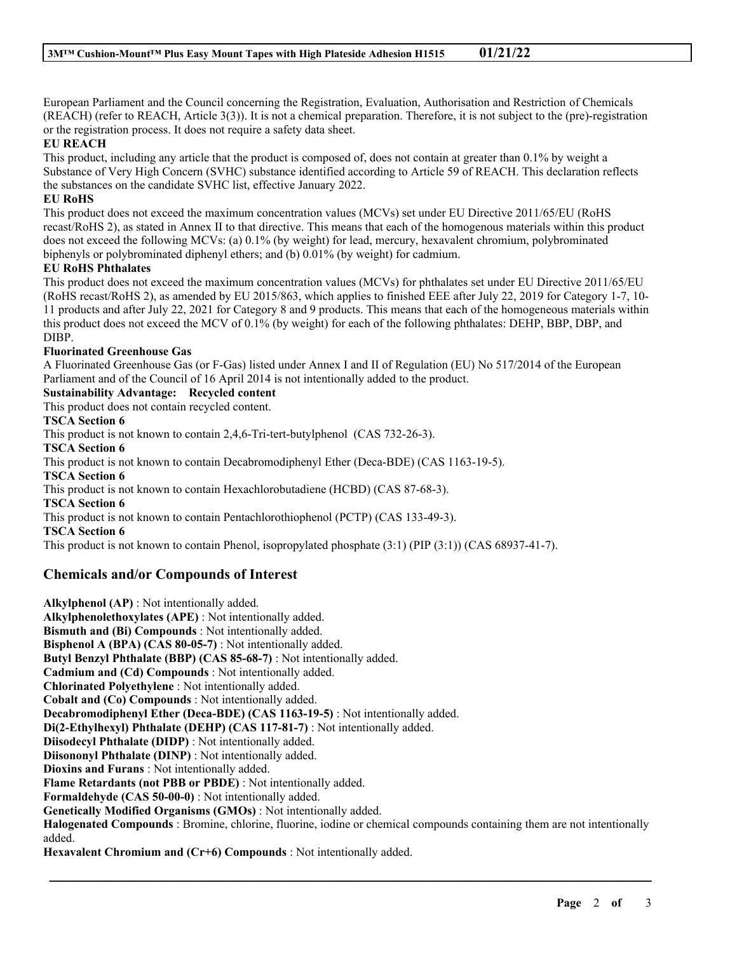European Parliament and the Council concerning the Registration, Evaluation, Authorisation and Restriction of Chemicals (REACH) (refer to REACH, Article 3(3)). It is not a chemical preparation. Therefore, it is not subject to the (pre)-registration or the registration process. It does not require a safety data sheet.

#### **EU REACH**

This product, including any article that the product is composed of, does not contain at greater than 0.1% by weight a Substance of Very High Concern (SVHC) substance identified according to Article 59 of REACH. This declaration reflects the substances on the candidate SVHC list, effective January 2022.

#### **EU RoHS**

This product does not exceed the maximum concentration values (MCVs) set under EU Directive 2011/65/EU (RoHS recast/RoHS 2), as stated in Annex II to that directive. This means that each of the homogenous materials within this product does not exceed the following MCVs: (a) 0.1% (by weight) for lead, mercury, hexavalent chromium, polybrominated biphenyls or polybrominated diphenyl ethers; and (b) 0.01% (by weight) for cadmium.

#### **EU RoHS Phthalates**

This product does not exceed the maximum concentration values (MCVs) for phthalates set under EU Directive 2011/65/EU (RoHS recast/RoHS 2), as amended by EU 2015/863, which applies to finished EEE after July 22, 2019 for Category 1-7, 10- 11 products and after July 22, 2021 for Category 8 and 9 products. This means that each of the homogeneous materials within this product does not exceed the MCV of 0.1% (by weight) for each of the following phthalates: DEHP, BBP, DBP, and DIBP.

#### **Fluorinated Greenhouse Gas**

A Fluorinated Greenhouse Gas (or F-Gas) listed under Annex I and II of Regulation (EU) No 517/2014 of the European Parliament and of the Council of 16 April 2014 is not intentionally added to the product.

#### **Sustainability Advantage: Recycled content**

This product does not contain recycled content.

#### **TSCA Section 6**

This product is not known to contain 2,4,6-Tri-tert-butylphenol (CAS 732-26-3).

**TSCA Section 6**

This product is not known to contain Decabromodiphenyl Ether (Deca-BDE) (CAS 1163-19-5).

**TSCA Section 6**

This product is not known to contain Hexachlorobutadiene (HCBD) (CAS 87-68-3).

**TSCA Section 6**

This product is not known to contain Pentachlorothiophenol (PCTP) (CAS 133-49-3).

**TSCA Section 6**

This product is not known to contain Phenol, isopropylated phosphate (3:1) (PIP (3:1)) (CAS 68937-41-7).

### **Chemicals and/or Compounds of Interest**

**Alkylphenol (AP)** : Not intentionally added. **Alkylphenolethoxylates (APE)** : Not intentionally added. **Bismuth and (Bi) Compounds** : Not intentionally added. **Bisphenol A (BPA) (CAS 80-05-7)** : Not intentionally added. **Butyl Benzyl Phthalate (BBP) (CAS 85-68-7)** : Not intentionally added. **Cadmium and (Cd) Compounds** : Not intentionally added. **Chlorinated Polyethylene** : Not intentionally added. **Cobalt and (Co) Compounds** : Not intentionally added. **Decabromodiphenyl Ether (Deca-BDE) (CAS 1163-19-5)** : Not intentionally added. **Di(2-Ethylhexyl) Phthalate (DEHP) (CAS 117-81-7)** : Not intentionally added. **Diisodecyl Phthalate (DIDP)** : Not intentionally added. **Diisononyl Phthalate (DINP)** : Not intentionally added. **Dioxins and Furans** : Not intentionally added. **Flame Retardants (not PBB or PBDE)** : Not intentionally added. **Formaldehyde (CAS 50-00-0)** : Not intentionally added. **Genetically Modified Organisms (GMOs)** : Not intentionally added. **Halogenated Compounds** : Bromine, chlorine, fluorine, iodine or chemical compounds containing them are not intentionally added.

\_\_\_\_\_\_\_\_\_\_\_\_\_\_\_\_\_\_\_\_\_\_\_\_\_\_\_\_\_\_\_\_\_\_\_\_\_\_\_\_\_\_\_\_\_\_\_\_\_\_\_\_\_\_\_\_\_\_\_\_\_\_\_\_\_\_\_\_\_\_\_\_\_\_\_\_\_\_\_\_\_\_\_\_\_\_\_\_\_\_

**Hexavalent Chromium and (Cr+6) Compounds** : Not intentionally added.